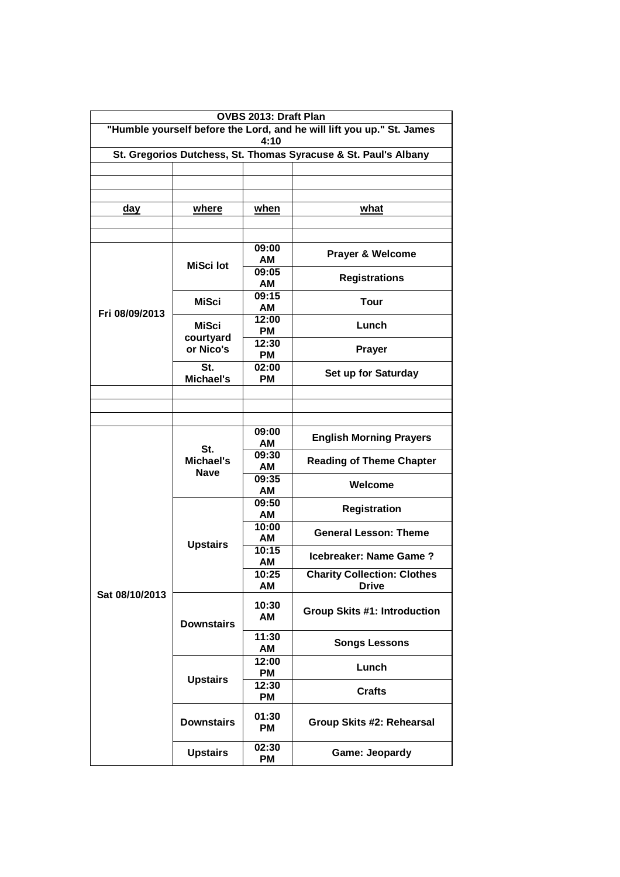|                                                                               | OVBS 2013: Draft Plan    |                    |                                                    |  |  |  |
|-------------------------------------------------------------------------------|--------------------------|--------------------|----------------------------------------------------|--|--|--|
| "Humble yourself before the Lord, and he will lift you up." St. James<br>4:10 |                          |                    |                                                    |  |  |  |
| St. Gregorios Dutchess, St. Thomas Syracuse & St. Paul's Albany               |                          |                    |                                                    |  |  |  |
|                                                                               |                          |                    |                                                    |  |  |  |
|                                                                               |                          |                    |                                                    |  |  |  |
|                                                                               |                          |                    |                                                    |  |  |  |
| <u>day</u>                                                                    | <u>where</u>             | <u>when</u>        | what                                               |  |  |  |
|                                                                               |                          |                    |                                                    |  |  |  |
| Fri 08/09/2013                                                                | <b>MiSci lot</b>         | 09:00<br>AM        | <b>Prayer &amp; Welcome</b>                        |  |  |  |
|                                                                               |                          | 09:05<br>АM        | <b>Registrations</b>                               |  |  |  |
|                                                                               | MiSci                    | 09:15<br>AM        | <b>Tour</b>                                        |  |  |  |
|                                                                               | MiSci<br>courtyard       | 12:00<br><b>PM</b> | Lunch                                              |  |  |  |
|                                                                               | or Nico's                | 12:30<br><b>PM</b> | <b>Prayer</b>                                      |  |  |  |
|                                                                               | St.<br>Michael's         | 02:00<br><b>PM</b> | Set up for Saturday                                |  |  |  |
|                                                                               |                          |                    |                                                    |  |  |  |
|                                                                               |                          |                    |                                                    |  |  |  |
|                                                                               |                          |                    |                                                    |  |  |  |
|                                                                               | St.<br>Michael's<br>Nave | 09:00<br>АM        | <b>English Morning Prayers</b>                     |  |  |  |
| Sat 08/10/2013                                                                |                          | 09:30<br>АM        | <b>Reading of Theme Chapter</b>                    |  |  |  |
|                                                                               |                          | 09:35<br>AM        | Welcome                                            |  |  |  |
|                                                                               | <b>Upstairs</b>          | 09:50<br>AM        | <b>Registration</b>                                |  |  |  |
|                                                                               |                          | 10:00<br>AM        | <b>General Lesson: Theme</b>                       |  |  |  |
|                                                                               |                          | 10:15<br>AМ        | Icebreaker: Name Game?                             |  |  |  |
|                                                                               |                          | 10:25<br>AM        | <b>Charity Collection: Clothes</b><br><b>Drive</b> |  |  |  |
|                                                                               | <b>Downstairs</b>        | 10:30<br>AM        | <b>Group Skits #1: Introduction</b>                |  |  |  |
|                                                                               |                          | 11:30<br>AM        | <b>Songs Lessons</b>                               |  |  |  |
|                                                                               | <b>Upstairs</b>          | 12:00<br><b>PM</b> | Lunch                                              |  |  |  |
|                                                                               |                          | 12:30<br><b>PM</b> | <b>Crafts</b>                                      |  |  |  |
|                                                                               | <b>Downstairs</b>        | 01:30<br><b>PM</b> | Group Skits #2: Rehearsal                          |  |  |  |
|                                                                               | <b>Upstairs</b>          | 02:30<br><b>PM</b> | Game: Jeopardy                                     |  |  |  |